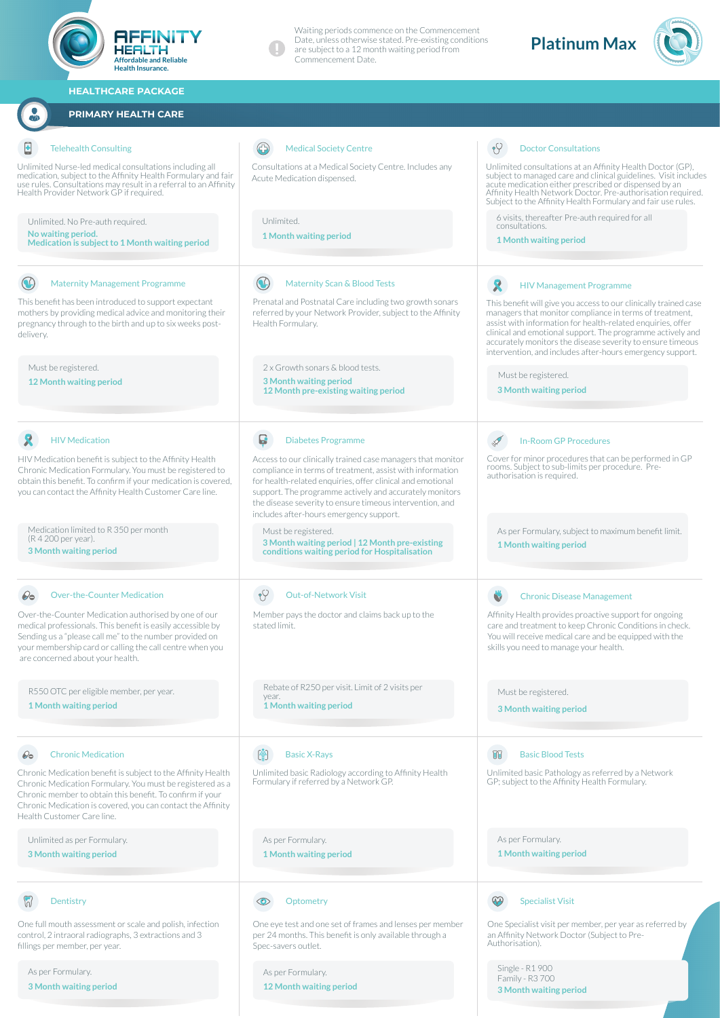

As per Formulary. **3 Month waiting period** As per Formulary. **12 Month waiting period** Single - R1 900 Family - R3 700 **3 Month waiting period**